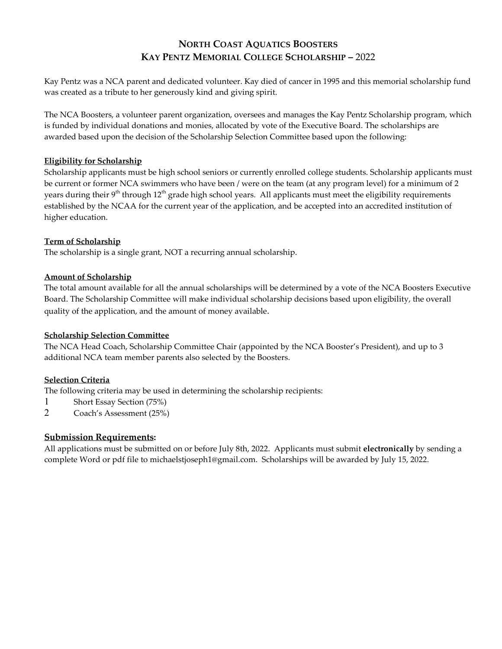# **NORTH COAST AQUATICS BOOSTERS KAY PENTZ MEMORIAL COLLEGE SCHOLARSHIP –** 2022

Kay Pentz was a NCA parent and dedicated volunteer. Kay died of cancer in 1995 and this memorial scholarship fund was created as a tribute to her generously kind and giving spirit.

The NCA Boosters, a volunteer parent organization, oversees and manages the Kay Pentz Scholarship program, which is funded by individual donations and monies, allocated by vote of the Executive Board. The scholarships are awarded based upon the decision of the Scholarship Selection Committee based upon the following:

#### **Eligibility for Scholarship**

Scholarship applicants must be high school seniors or currently enrolled college students. Scholarship applicants must be current or former NCA swimmers who have been / were on the team (at any program level) for a minimum of 2 years during their 9<sup>th</sup> through 12<sup>th</sup> grade high school years. All applicants must meet the eligibility requirements established by the NCAA for the current year of the application, and be accepted into an accredited institution of higher education.

## **Term of Scholarship**

The scholarship is a single grant, NOT a recurring annual scholarship.

## **Amount of Scholarship**

The total amount available for all the annual scholarships will be determined by a vote of the NCA Boosters Executive Board. The Scholarship Committee will make individual scholarship decisions based upon eligibility, the overall quality of the application, and the amount of money available.

#### **Scholarship Selection Committee**

The NCA Head Coach, Scholarship Committee Chair (appointed by the NCA Booster's President), and up to 3 additional NCA team member parents also selected by the Boosters.

## **Selection Criteria**

The following criteria may be used in determining the scholarship recipients:

- 1 Short Essay Section (75%)
- 2 Coach's Assessment(25%)

## **Submission Requirements:**

All applications must be submitted on or before July 8th, 2022. Applicants must submit **electronically** by sending a complete Word or pdf file to [michaelstjoseph1@gmail.com.](mailto:michaelstjoseph1@gmail.com) Scholarships will be awarded by July 15, 2022.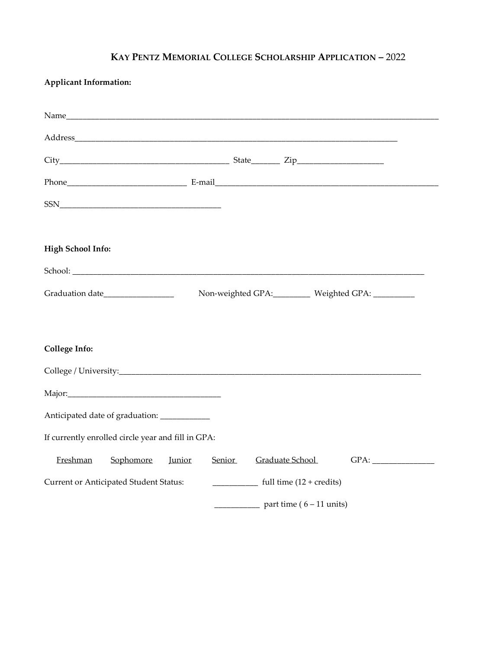# **KAY PENTZ MEMORIAL COLLEGE SCHOLARSHIP APPLICATION –** 2022

| <b>Applicant Information:</b>                      |                                  |                                         |
|----------------------------------------------------|----------------------------------|-----------------------------------------|
|                                                    |                                  |                                         |
|                                                    |                                  |                                         |
|                                                    |                                  |                                         |
|                                                    |                                  |                                         |
|                                                    |                                  |                                         |
|                                                    |                                  |                                         |
| <b>High School Info:</b>                           |                                  |                                         |
|                                                    |                                  |                                         |
| Graduation date_________________                   |                                  | Non-weighted GPA: Weighted GPA: _______ |
|                                                    |                                  |                                         |
| <b>College Info:</b>                               |                                  |                                         |
|                                                    |                                  |                                         |
|                                                    |                                  |                                         |
| Anticipated date of graduation: ___________        |                                  |                                         |
| If currently enrolled circle year and fill in GPA: |                                  |                                         |
| Freshman<br>Sophomore<br><b>Junior</b>             | <b>Senior</b><br>Graduate School | GPA:                                    |
| Current or Anticipated Student Status:             |                                  | full time $(12 + \text{credits})$       |
|                                                    |                                  | part time ( $6 - 11$ units)             |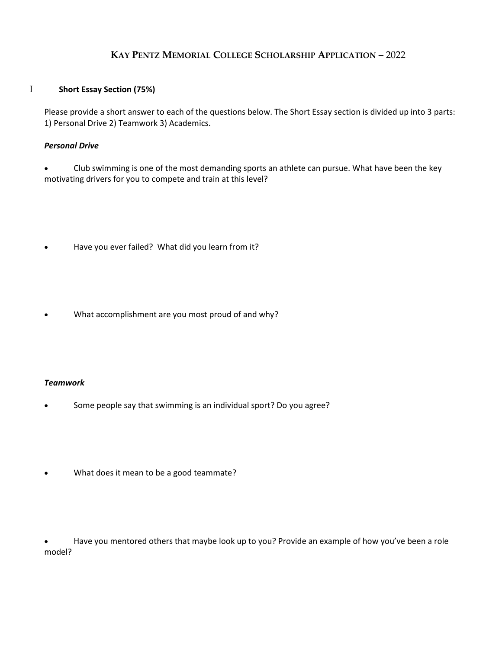# **KAY PENTZ MEMORIAL COLLEGE SCHOLARSHIP APPLICATION –** 2022

#### I **Short Essay Section (75%)**

Please provide a short answer to each of the questions below. The Short Essay section is divided up into 3 parts: 1) Personal Drive 2) Teamwork 3) Academics.

#### *Personal Drive*

 Club swimming is one of the most demanding sports an athlete can pursue. What have been the key motivating drivers for you to compete and train at this level?

- Have you ever failed? What did you learn from it?
- What accomplishment are you most proud of and why?

#### *Teamwork*

- Some people say that swimming is an individual sport? Do you agree?
- What does it mean to be a good teammate?

 Have you mentored others that maybe look up to you? Provide an example of how you've been a role model?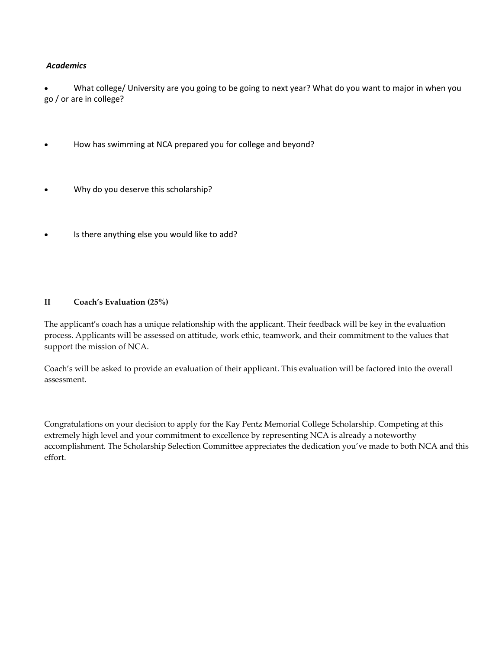## *Academics*

 What college/ University are you going to be going to next year? What do you want to major in when you go / or are in college?

- How has swimming at NCA prepared you for college and beyond?
- Why do you deserve this scholarship?
- Is there anything else you would like to add?

## **II Coach's Evaluation (25%)**

The applicant's coach has a unique relationship with the applicant. Their feedback will be key in the evaluation process. Applicants will be assessed on attitude, work ethic, teamwork, and their commitment to the values that support the mission of NCA.

Coach's will be asked to provide an evaluation of their applicant. This evaluation will be factored into the overall assessment.

Congratulations on your decision to apply for the Kay Pentz Memorial College Scholarship. Competing at this extremely high level and your commitment to excellence by representing NCA is already a noteworthy accomplishment. The Scholarship Selection Committee appreciates the dedication you've made to both NCA and this effort.